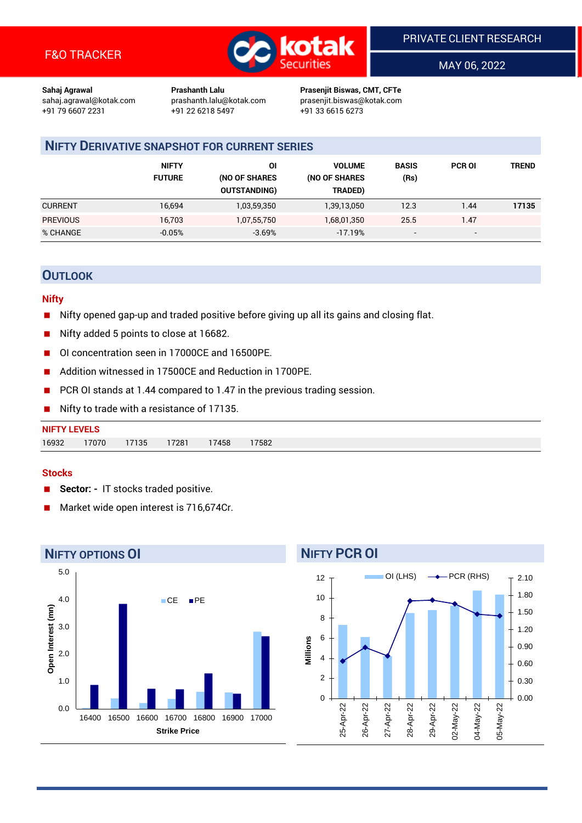

MAY 06, 2022

**Sahaj Agrawal Prashanth Lalu Prasenjit Biswas, CMT, CFTe** +91 79 6607 2231 +91 22 6218 5497 +91 33 6615 6273

sahaj.agrawal@kotak.com [prashanth.lalu@kotak.com](mailto:prashanth.lalu@kotak.com) prasenjit.biswas@kotak.com

### **NIFTY DERIVATIVE SNAPSHOT FOR CURRENT SERIES**

|                 | <b>NIFTY</b><br><b>FUTURE</b> | ΟI<br>(NO OF SHARES<br><b>OUTSTANDING)</b> | <b>VOLUME</b><br>(NO OF SHARES<br>TRADED) | <b>BASIS</b><br>(Rs)     | <b>PCR OI</b>            | TREND |
|-----------------|-------------------------------|--------------------------------------------|-------------------------------------------|--------------------------|--------------------------|-------|
| <b>CURRENT</b>  | 16,694                        | 1,03,59,350                                | 1,39,13,050                               | 12.3                     | 1.44                     | 17135 |
| <b>PREVIOUS</b> | 16,703                        | 1,07,55,750                                | 1,68,01,350                               | 25.5                     | 1.47                     |       |
| % CHANGE        | $-0.05%$                      | $-3.69%$                                   | $-17.19%$                                 | $\overline{\phantom{a}}$ | $\overline{\phantom{0}}$ |       |

#### **OUTLOOK**

#### **Nifty**

- Nifty opened gap-up and traded positive before giving up all its gains and closing flat.
- Nifty added 5 points to close at 16682.
- OI concentration seen in 17000CE and 16500PE.
- Addition witnessed in 17500CE and Reduction in 1700PE.
- PCR OI stands at 1.44 compared to 1.47 in the previous trading session.
- Nifty to trade with a resistance of 17135.

| <b>NIFTY LEVELS</b> |       |       |       |       |      |
|---------------------|-------|-------|-------|-------|------|
| 16932               | 17070 | 17135 | 17281 | 17458 | 7582 |

#### **Stocks**

- Sector: IT stocks traded positive.
- Market wide open interest is 716,674Cr.



#### **NIFTY PCR OI**

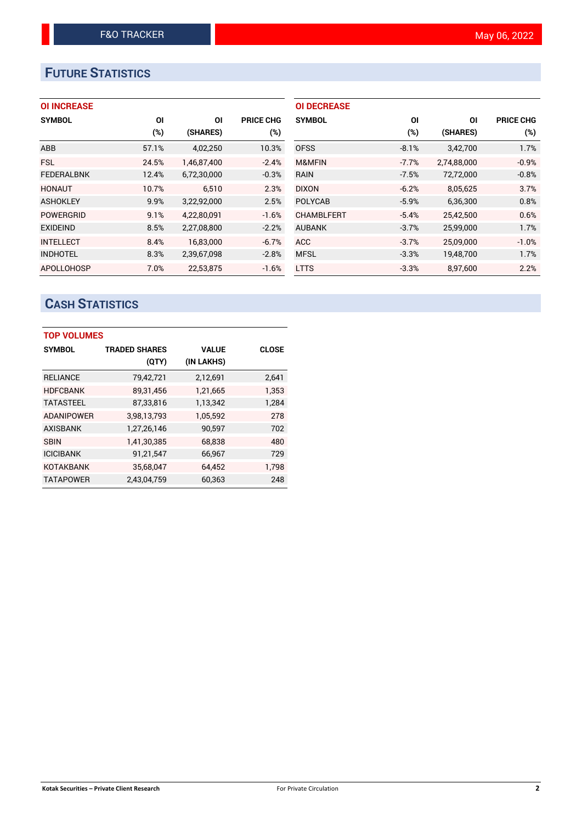# **FUTURE STATISTICS**

#### **OI INCREASE**

| <b>SYMBOL</b>     | <b>OI</b> | ΟI          | <b>PRICE CHG</b> |
|-------------------|-----------|-------------|------------------|
|                   | (%)       | (SHARES)    | $(\%)$           |
| ABB               | 57.1%     | 4,02,250    | 10.3%            |
| <b>FSL</b>        | 24.5%     | 1,46,87,400 | $-2.4%$          |
| <b>FEDERALBNK</b> | 12.4%     | 6,72,30,000 | $-0.3%$          |
| <b>HONAUT</b>     | 10.7%     | 6,510       | 2.3%             |
| <b>ASHOKLEY</b>   | 9.9%      | 3,22,92,000 | 2.5%             |
| <b>POWERGRID</b>  | 9.1%      | 4,22,80,091 | $-1.6%$          |
| <b>EXIDEIND</b>   | 8.5%      | 2,27,08,800 | $-2.2%$          |
| <b>INTELLECT</b>  | 8.4%      | 16,83,000   | $-6.7%$          |
| <b>INDHOTEL</b>   | 8.3%      | 2,39,67,098 | $-2.8%$          |
| <b>APOLLOHOSP</b> | 7.0%      | 22.53.875   | $-1.6%$          |

| <b>OI DECREASE</b> |         |             |                  |
|--------------------|---------|-------------|------------------|
| <b>SYMBOL</b>      | ΟI      | ΟI          | <b>PRICE CHG</b> |
|                    | $(\%)$  | (SHARES)    | $(\%)$           |
| <b>OFSS</b>        | $-8.1%$ | 3,42,700    | 1.7%             |
| M&MFIN             | $-7.7%$ | 2,74,88,000 | $-0.9%$          |
| <b>RAIN</b>        | $-7.5%$ | 72,72,000   | $-0.8%$          |
| <b>DIXON</b>       | $-6.2%$ | 8,05,625    | 3.7%             |
| <b>POLYCAB</b>     | $-5.9%$ | 6,36,300    | 0.8%             |
| <b>CHAMBLFERT</b>  | $-5.4%$ | 25,42,500   | 0.6%             |
| <b>AUBANK</b>      | $-3.7%$ | 25,99,000   | 1.7%             |
| <b>ACC</b>         | $-3.7%$ | 25,09,000   | $-1.0%$          |
| <b>MFSL</b>        | $-3.3%$ | 19,48,700   | 1.7%             |
| <b>LTTS</b>        | $-3.3%$ | 8,97,600    | 2.2%             |

# **CASH STATISTICS**

| <b>TOP VOLUMES</b> |                      |              |              |  |  |  |  |  |
|--------------------|----------------------|--------------|--------------|--|--|--|--|--|
| <b>SYMBOL</b>      | <b>TRADED SHARES</b> | <b>VALUE</b> | <b>CLOSE</b> |  |  |  |  |  |
|                    | (QTY)                | (IN LAKHS)   |              |  |  |  |  |  |
| <b>RELIANCE</b>    | 79,42,721            | 2,12,691     | 2,641        |  |  |  |  |  |
| <b>HDFCBANK</b>    | 89,31,456            | 1,21,665     | 1,353        |  |  |  |  |  |
| <b>TATASTEEL</b>   | 87,33,816            | 1,13,342     | 1,284        |  |  |  |  |  |
| <b>ADANIPOWER</b>  | 3,98,13,793          | 1,05,592     | 278          |  |  |  |  |  |
| <b>AXISBANK</b>    | 1,27,26,146          | 90,597       | 702          |  |  |  |  |  |
| <b>SBIN</b>        | 1,41,30,385          | 68,838       | 480          |  |  |  |  |  |
| <b>ICICIBANK</b>   | 91,21,547            | 66,967       | 729          |  |  |  |  |  |
| <b>KOTAKBANK</b>   | 35,68,047            | 64,452       | 1,798        |  |  |  |  |  |
| <b>TATAPOWER</b>   | 2.43.04.759          | 60,363       | 248          |  |  |  |  |  |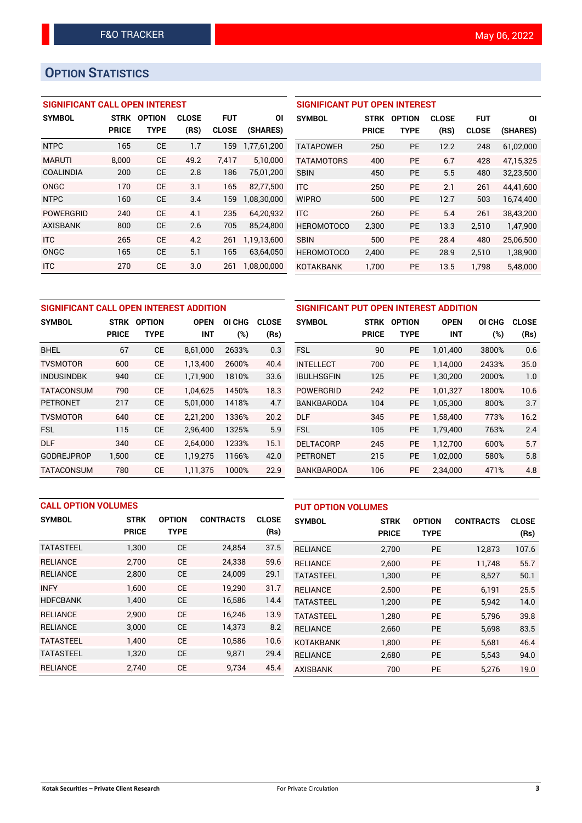## **OPTION STATISTICS**

#### **SIGNIFICANT CALL OPEN INTEREST**

| <b>SYMBOL</b>    | <b>STRK</b>  | <b>OPTION</b> | <b>CLOSE</b> | <b>FUT</b>   | <b>OI</b>   |
|------------------|--------------|---------------|--------------|--------------|-------------|
|                  | <b>PRICE</b> | <b>TYPE</b>   | (RS)         | <b>CLOSE</b> | (SHARES)    |
| <b>NTPC</b>      | 165          | <b>CE</b>     | 1.7          | 159          | 1,77,61,200 |
| <b>MARUTI</b>    | 8.000        | <b>CE</b>     | 49.2         | 7.417        | 5,10,000    |
| COALINDIA        | 200          | <b>CE</b>     | 2.8          | 186          | 75,01,200   |
| ONGC             | 170          | <b>CE</b>     | 3.1          | 165          | 82,77,500   |
| <b>NTPC</b>      | 160          | <b>CE</b>     | 3.4          | 159          | 1,08,30,000 |
| <b>POWERGRID</b> | 240          | CF            | 4.1          | 235          | 64,20,932   |
| <b>AXISBANK</b>  | 800          | <b>CE</b>     | 2.6          | 705          | 85,24,800   |
| <b>ITC</b>       | 265          | <b>CF</b>     | 4.2          | 261          | 1,19,13,600 |
| <b>ONGC</b>      | 165          | <b>CE</b>     | 5.1          | 165          | 63,64,050   |
| <b>ITC</b>       | 270          | CE            | 3.0          | 261          | 1,08,00,000 |

#### **SIGNIFICANT PUT OPEN INTEREST**

| <b>SYMBOL</b>     | <b>STRK</b><br><b>PRICE</b> | <b>OPTION</b><br>TYPE | <b>CLOSE</b><br>(RS) | FUT<br><b>CLOSE</b> | ΟI<br>(SHARES) |
|-------------------|-----------------------------|-----------------------|----------------------|---------------------|----------------|
| <b>TATAPOWER</b>  | 250                         | PF                    | 12.2                 | 248                 | 61,02,000      |
| <b>TATAMOTORS</b> | 400                         | <b>PE</b>             | 6.7                  | 428                 | 47.15.325      |
| <b>SBIN</b>       | 450                         | PF                    | 5.5                  | 480                 | 32,23,500      |
| <b>ITC</b>        | 250                         | PF                    | 2.1                  | 261                 | 44.41.600      |
| <b>WIPRO</b>      | 500                         | PF                    | 12.7                 | 503                 | 16,74,400      |
| <b>ITC</b>        | 260                         | PF                    | 5.4                  | 261                 | 38,43,200      |
| <b>HEROMOTOCO</b> | 2,300                       | PE                    | 13.3                 | 2,510               | 1,47,900       |
| <b>SBIN</b>       | 500                         | РF                    | 28.4                 | 480                 | 25,06,500      |
| <b>HEROMOTOCO</b> | 2.400                       | PE                    | 28.9                 | 2.510               | 1,38,900       |
| KOTAKBANK         | 1,700                       | PE                    | 13.5                 | 1,798               | 5,48,000       |

| SIGNIFICANT CALL OPEN INTEREST ADDITION |              |               |             |        |              | <b>SIGNIFICAN</b> |
|-----------------------------------------|--------------|---------------|-------------|--------|--------------|-------------------|
| <b>SYMBOL</b>                           | STRK         | <b>OPTION</b> | <b>OPEN</b> | OI CHG | <b>CLOSE</b> | <b>SYMBOL</b>     |
|                                         | <b>PRICE</b> | <b>TYPE</b>   | <b>INT</b>  | (%)    | (Rs)         |                   |
| <b>BHEL</b>                             | 67           | <b>CE</b>     | 8,61,000    | 2633%  | 0.3          | <b>FSL</b>        |
| <b>TVSMOTOR</b>                         | 600          | <b>CE</b>     | 1,13,400    | 2600%  | 40.4         | <b>INTELLECT</b>  |
| <b>INDUSINDBK</b>                       | 940          | <b>CE</b>     | 1,71,900    | 1810%  | 33.6         | <b>IBULHSGFIN</b> |
| <b>TATACONSUM</b>                       | 790          | <b>CE</b>     | 1,04,625    | 1450%  | 18.3         | <b>POWERGRID</b>  |
| <b>PETRONET</b>                         | 217          | <b>CE</b>     | 5,01,000    | 1418%  | 4.7          | <b>BANKBAROD</b>  |
| <b>TVSMOTOR</b>                         | 640          | <b>CE</b>     | 2,21,200    | 1336%  | 20.2         | <b>DLF</b>        |
| <b>FSL</b>                              | 115          | <b>CE</b>     | 2,96,400    | 1325%  | 5.9          | <b>FSL</b>        |
| <b>DLF</b>                              | 340          | <b>CE</b>     | 2,64,000    | 1233%  | 15.1         | <b>DELTACORP</b>  |
| <b>GODREJPROP</b>                       | 1,500        | <b>CE</b>     | 1,19,275    | 1166%  | 42.0         | <b>PETRONET</b>   |
| <b>TATACONSUM</b>                       | 780          | <b>CE</b>     | 1,11,375    | 1000%  | 22.9         | <b>BANKBAROD</b>  |

| SIGNIFICANT PUT OPEN INTEREST ADDITION |              |               |             |        |              |  |  |  |  |
|----------------------------------------|--------------|---------------|-------------|--------|--------------|--|--|--|--|
| <b>SYMBOL</b>                          | <b>STRK</b>  | <b>OPTION</b> | <b>OPEN</b> | OI CHG | <b>CLOSE</b> |  |  |  |  |
|                                        | <b>PRICE</b> | <b>TYPE</b>   | <b>INT</b>  | (%)    | (Rs)         |  |  |  |  |
| <b>FSL</b>                             | 90           | <b>PE</b>     | 1,01,400    | 3800%  | 0.6          |  |  |  |  |
| <b>INTELLECT</b>                       | 700          | <b>PE</b>     | 1,14,000    | 2433%  | 35.0         |  |  |  |  |
| <b>IBULHSGFIN</b>                      | 125          | <b>PE</b>     | 1,30,200    | 2000%  | 1.0          |  |  |  |  |
| <b>POWERGRID</b>                       | 242          | <b>PE</b>     | 1,01,327    | 1800%  | 10.6         |  |  |  |  |
| <b>BANKBARODA</b>                      | 104          | <b>PE</b>     | 1,05,300    | 800%   | 3.7          |  |  |  |  |
| <b>DLF</b>                             | 345          | <b>PE</b>     | 1,58,400    | 773%   | 16.2         |  |  |  |  |
| <b>FSL</b>                             | 105          | <b>PE</b>     | 1,79,400    | 763%   | 2.4          |  |  |  |  |
| <b>DELTACORP</b>                       | 245          | <b>PE</b>     | 1,12,700    | 600%   | 5.7          |  |  |  |  |
| <b>PETRONET</b>                        | 215          | <b>PE</b>     | 1,02,000    | 580%   | 5.8          |  |  |  |  |
| <b>BANKBARODA</b>                      | 106          | <b>PE</b>     | 2,34,000    | 471%   | 4.8          |  |  |  |  |

|                  | <b>CALL OPTION VOLUMES</b> |               |                  |              | <b>PUT OPTION VOLUMES</b> |              |               |                  |              |
|------------------|----------------------------|---------------|------------------|--------------|---------------------------|--------------|---------------|------------------|--------------|
| <b>SYMBOL</b>    | <b>STRK</b>                | <b>OPTION</b> | <b>CONTRACTS</b> | <b>CLOSE</b> | <b>SYMBOL</b>             | <b>STRK</b>  | <b>OPTION</b> | <b>CONTRACTS</b> | <b>CLOSE</b> |
|                  | <b>PRICE</b>               | <b>TYPE</b>   |                  | (Rs)         |                           | <b>PRICE</b> | <b>TYPE</b>   |                  | (Rs)         |
| <b>TATASTEEL</b> | 1,300                      | <b>CE</b>     | 24,854           | 37.5         | <b>RELIANCE</b>           | 2,700        | <b>PE</b>     | 12.873           | 107.6        |
| <b>RELIANCE</b>  | 2.700                      | <b>CE</b>     | 24,338           | 59.6         | <b>RELIANCE</b>           | 2.600        | <b>PE</b>     | 11.748           | 55.7         |
| <b>RELIANCE</b>  | 2,800                      | <b>CE</b>     | 24,009           | 29.1         | <b>TATASTEEL</b>          | 1,300        | <b>PE</b>     | 8,527            | 50.1         |
| <b>INFY</b>      | 1.600                      | <b>CE</b>     | 19.290           | 31.7         | <b>RELIANCE</b>           | 2.500        | <b>PE</b>     | 6,191            | 25.5         |
| <b>HDFCBANK</b>  | 1,400                      | <b>CE</b>     | 16,586           | 14.4         | <b>TATASTEEL</b>          | 1,200        | <b>PE</b>     | 5,942            | 14.0         |
| <b>RELIANCE</b>  | 2,900                      | <b>CE</b>     | 16.246           | 13.9         | <b>TATASTEEL</b>          | 1.280        | <b>PE</b>     | 5.796            | 39.8         |
| <b>RELIANCE</b>  | 3,000                      | <b>CE</b>     | 14,373           | 8.2          | <b>RELIANCE</b>           | 2,660        | <b>PE</b>     | 5,698            | 83.5         |
| <b>TATASTEEL</b> | 1.400                      | <b>CE</b>     | 10.586           | 10.6         | <b>KOTAKBANK</b>          | 1.800        | <b>PE</b>     | 5.681            | 46.4         |
| <b>TATASTEEL</b> | 1,320                      | <b>CE</b>     | 9,871            | 29.4         | <b>RELIANCE</b>           | 2,680        | <b>PE</b>     | 5,543            | 94.0         |
| <b>RELIANCE</b>  | 2.740                      | <b>CE</b>     | 9,734            | 45.4         | <b>AXISBANK</b>           | 700          | PE            | 5.276            | 19.0         |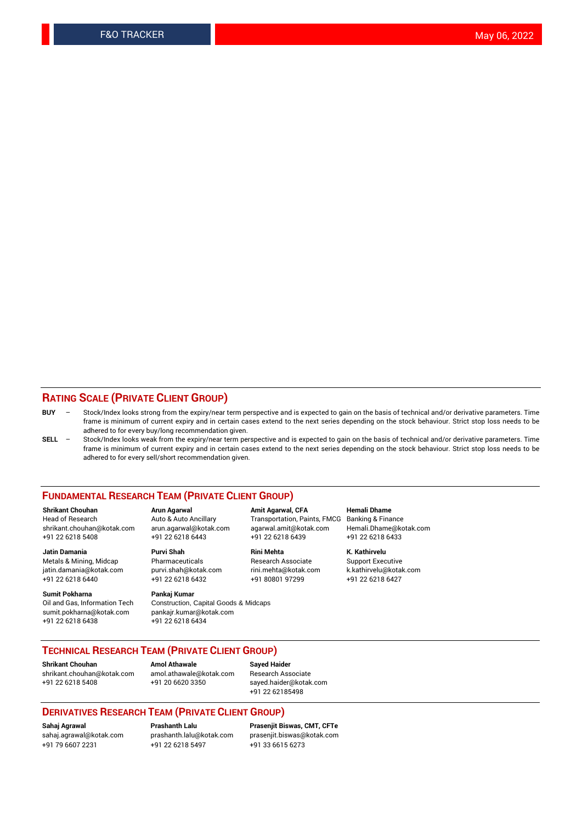#### **RATING SCALE (PRIVATE CLIENT GROUP)**

- **BUY**  Stock/Index looks strong from the expiry/near term perspective and is expected to gain on the basis of technical and/or derivative parameters. Time frame is minimum of current expiry and in certain cases extend to the next series depending on the stock behaviour. Strict stop loss needs to be adhered to for every buy/long recommendation given.
- **SELL** Stock/Index looks weak from the expiry/near term perspective and is expected to gain on the basis of technical and/or derivative parameters. Time frame is minimum of current expiry and in certain cases extend to the next series depending on the stock behaviour. Strict stop loss needs to be adhered to for every sell/short recommendation given.

#### **FUNDAMENTAL RESEARCH TEAM (PRIVATE CLIENT GROUP)**

**Shrikant Chouhan Arun Agarwal Amit Agarwal, CFA Hemali Dhame** shrikant.chouhan@kotak.com arun.agarwal@kotak.com agarwal.amit@kotak.com Hemali.Dhame@kotak.com +91 22 6218 5408 +91 22 6218 6443 +91 22 6218 6439 +91 22 6218 6433

Metals & Mining, Midcap Pharmaceuticals Pharmaceuticals Research Associate Support Executive<br>
iatin.damania@kotak.com purvi.shah@kotak.com rini.mehta@kotak.com k.kathirvelu@kotak.com jatin.damania@kotak.com

**Sumit Pokharna** Pankaj Kumar<br>Oil and Gas, Information Tech Construction, sumit.pokharna@kotak.com pankajr.kumar@kotak.com +91 22 6218 6438 +91 22 6218 6434

# **Jatin Damania Purvi Shah Rini Mehta K. Kathirvelu**

Construction, Capital Goods & Midcaps

Transportation, Paints, FMCG

+91 22 6218 6440 +91 22 6218 6432 +91 80801 97299 +91 22 6218 6427

#### **TECHNICAL RESEARCH TEAM (PRIVATE CLIENT GROUP)**

**Shrikant Chouhan Amol Athawale Sayed Haider** [shrikant.chouhan@kotak.com](mailto:shrikant.chouhan@kotak.com) [amol.athawale@kotak.com](mailto:amol.athawale@kotak.com) Research Associate +91 22 6218 5408 +91 20 6620 3350 [sayed.haider@kotak.com](mailto:sayed.haider@kotak.com)

+91 22 62185498

#### **DERIVATIVES RESEARCH TEAM (PRIVATE CLIENT GROUP)**

+91 79 6607 2231 +91 22 6218 5497 +91 33 6615 6273

**Sahaj Agrawal Prashanth Lalu Prasenjit Biswas, CMT, CFTe** [prasenjit.biswas@kotak.com](mailto:prasenjit.biswas@kotak.com)